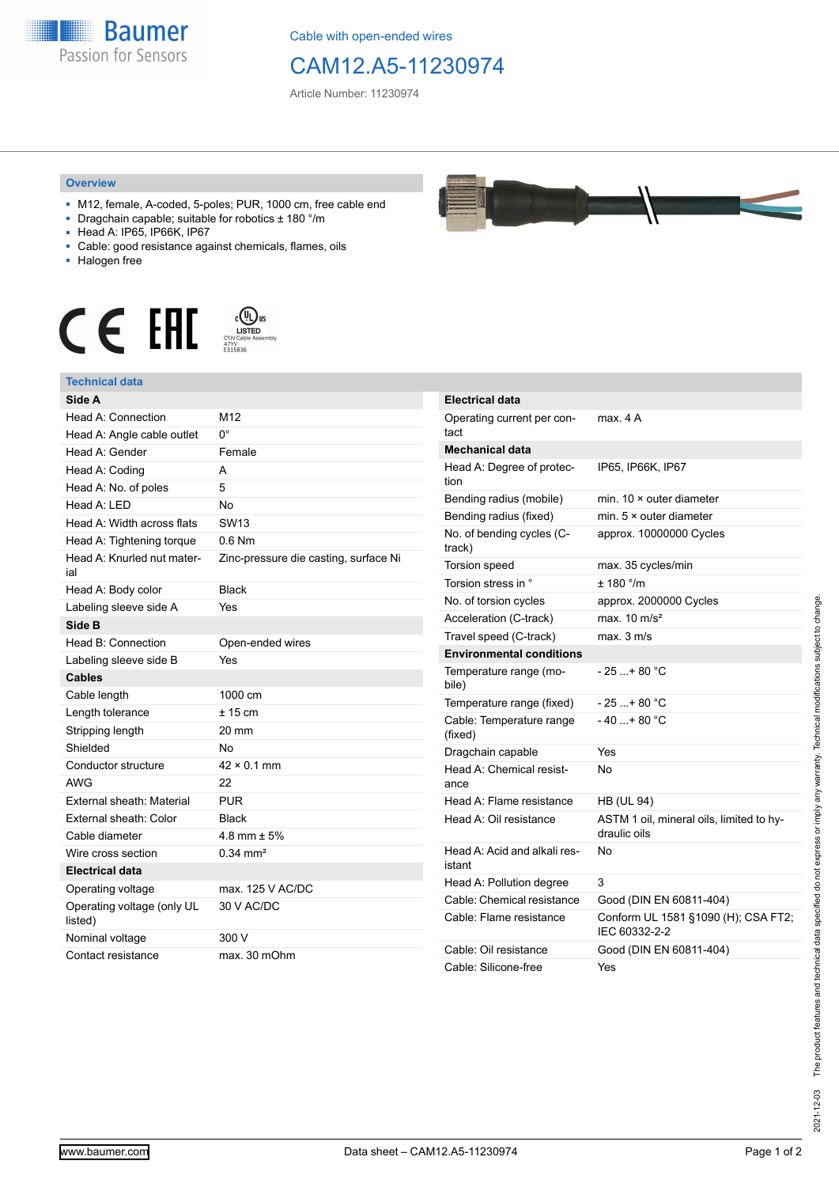

Cable with open-ended wires

## CAM12.A5-11230974

Article Number: 11230974

## **Overview**

- M12, female, A-coded, 5-poles; PUR, 1000 cm, free cable end
- Dragchain capable; suitable for robotics ± 180 °/m
- Head A: IP65, IP66K, IP67
- Cable: good resistance against chemicals, flames, oils
- Halogen free



## **Technical data**

| Side A                                |                                       |
|---------------------------------------|---------------------------------------|
| Head A: Connection                    | M12                                   |
| Head A: Angle cable outlet            | n°                                    |
| Head A: Gender                        | Female                                |
| Head A: Coding                        | A                                     |
| Head A: No. of poles                  | 5                                     |
| Head $A \cdot IFD$                    | No                                    |
| Head A: Width across flats            | SW <sub>13</sub>                      |
| Head A: Tightening torque             | $0.6$ Nm                              |
| Head A: Knurled nut mater-<br>ial     | Zinc-pressure die casting, surface Ni |
| Head A: Body color                    | <b>Black</b>                          |
| Labeling sleeve side A                | Yes                                   |
| Side B                                |                                       |
| Head B: Connection                    | Open-ended wires                      |
| Labeling sleeve side B                | Yes                                   |
| <b>Cables</b>                         |                                       |
| Cable length                          | 1000 cm                               |
| Length tolerance                      | $± 15$ cm                             |
| Stripping length                      | 20 mm                                 |
| Shielded                              | Nο                                    |
| Conductor structure                   | $42 \times 0.1$ mm                    |
| <b>AWG</b>                            | 22                                    |
| External sheath: Material             | <b>PUR</b>                            |
| External sheath: Color                | <b>Black</b>                          |
| Cable diameter                        | 4.8 mm $\pm$ 5%                       |
| Wire cross section                    | $0.34 \, \text{mm}^2$                 |
| <b>Electrical data</b>                |                                       |
| Operating voltage                     | max. 125 V AC/DC                      |
| Operating voltage (only UL<br>listed) | 30 V AC/DC                            |
| Nominal voltage                       | 300 V                                 |
| Contact resistance                    | max. 30 mOhm                          |

| <b>Electrical data</b>                 |                                                          |
|----------------------------------------|----------------------------------------------------------|
| Operating current per con-<br>tact     | max. 4 A                                                 |
| Mechanical data                        |                                                          |
| Head A: Degree of protec-<br>tion      | IP65, IP66K, IP67                                        |
| Bending radius (mobile)                | min. $10 \times$ outer diameter                          |
| Bending radius (fixed)                 | min. $5 \times$ outer diameter                           |
| No. of bending cycles (C-<br>track)    | approx. 10000000 Cycles                                  |
| Torsion speed                          | max. 35 cycles/min                                       |
| Torsion stress in °                    | ± 180 °/m                                                |
| No. of torsion cycles                  | approx. 2000000 Cycles                                   |
| Acceleration (C-track)                 | max. $10 \text{ m/s}^2$                                  |
| Travel speed (C-track)                 | max. 3 m/s                                               |
| <b>Environmental conditions</b>        |                                                          |
| Temperature range (mo-<br>bile)        | - 25 + 80 °C                                             |
| Temperature range (fixed)              | $-25$ + 80 °C                                            |
| Cable: Temperature range<br>(fixed)    | $-40+80 °C$                                              |
| Dragchain capable                      | Yes                                                      |
| Head A: Chemical resist-<br>ance       | No                                                       |
| Head A: Flame resistance               | <b>HB (UL 94)</b>                                        |
| Head A: Oil resistance                 | ASTM 1 oil, mineral oils, limited to hy-<br>draulic oils |
| Head A: Acid and alkali res-<br>istant | N٥                                                       |
| Head A: Pollution degree               | 3                                                        |
| Cable: Chemical resistance             | Good (DIN EN 60811-404)                                  |
| Cable: Flame resistance                | Conform UL 1581 §1090 (H); CSA FT2;<br>IEC 60332-2-2     |
| Cable: Oil resistance                  | Good (DIN EN 60811-404)                                  |
| Cable: Silicone-free                   | Yes                                                      |